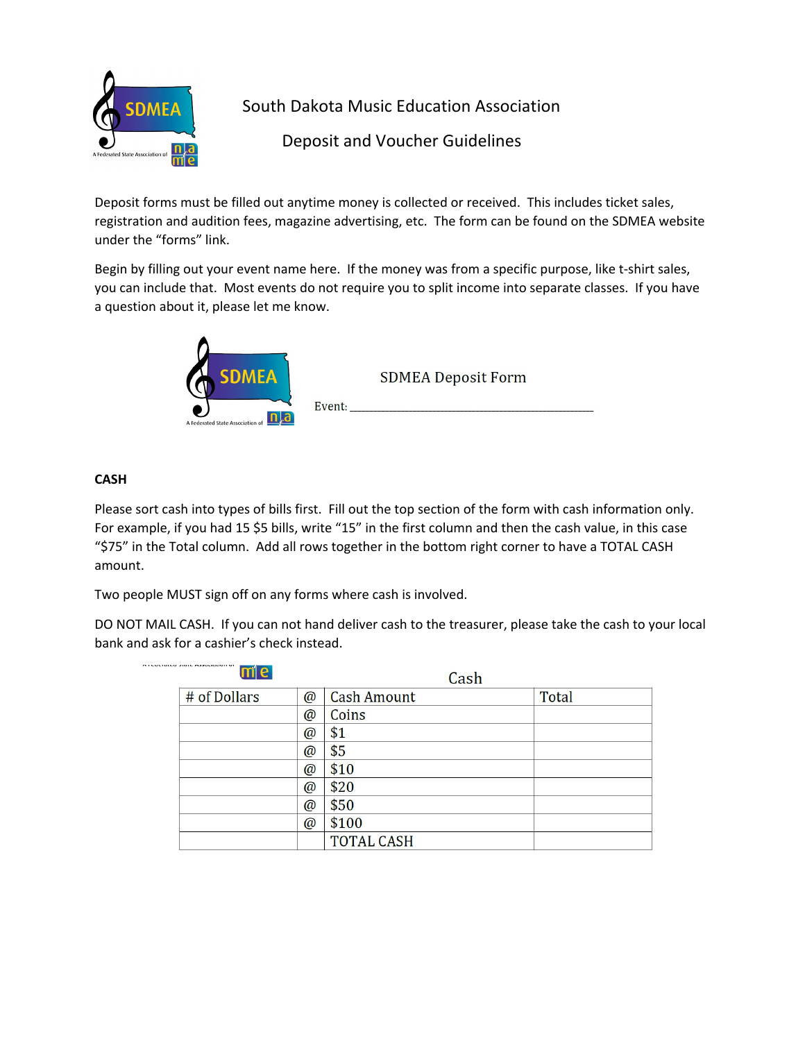

South Dakota Music Education Association

Deposit and Voucher Guidelines

Deposit forms must be filled out anytime money is collected or received. This includes ticket sales, registration and audition fees, magazine advertising, etc. The form can be found on the SDMEA website under the "forms" link.

Begin by filling out your event name here. If the money was from a specific purpose, like t-shirt sales, you can include that. Most events do not require you to split income into separate classes. If you have a question about it, please let me know.



## **CASH**

Please sort cash into types of bills first. Fill out the top section of the form with cash information only. For example, if you had 15 \$5 bills, write "15" in the first column and then the cash value, in this case "\$75" in the Total column. Add all rows together in the bottom right corner to have a TOTAL CASH amount.

Two people MUST sign off on any forms where cash is involved.

DO NOT MAIL CASH. If you can not hand deliver cash to the treasurer, please take the cash to your local bank and ask for a cashier's check instead.

| N.M. WANANI FRANKLINGSTOFF M.<br>me |             | Cash               |              |
|-------------------------------------|-------------|--------------------|--------------|
| # of Dollars                        | $\omega$    | <b>Cash Amount</b> | <b>Total</b> |
|                                     | $\circledR$ | Coins              |              |
|                                     | $\omega$    | \$1                |              |
|                                     | $\omega$    | \$5                |              |
|                                     | $\omega$    | \$10               |              |
|                                     | $\omega$    | \$20               |              |
|                                     | $\omega$    | \$50               |              |
|                                     | $\omega$    | \$100              |              |
|                                     |             | <b>TOTAL CASH</b>  |              |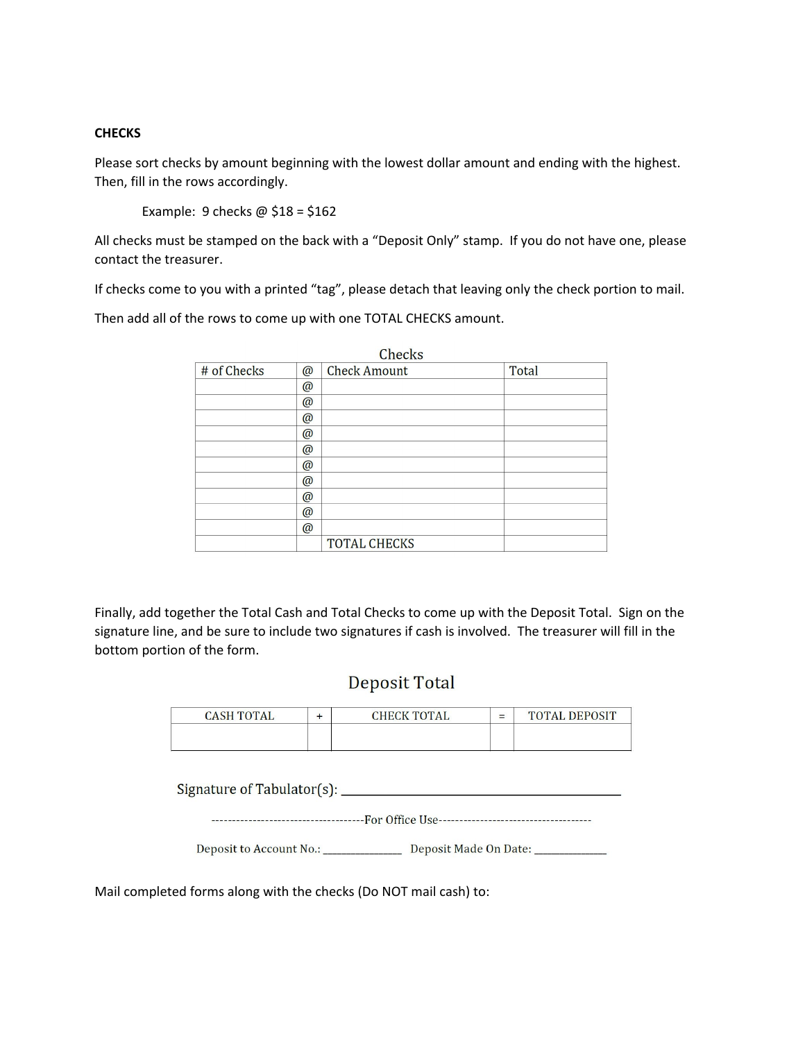## **CHECKS**

Please sort checks by amount beginning with the lowest dollar amount and ending with the highest. Then, fill in the rows accordingly.

Example: 9 checks  $\omega$  \$18 = \$162

All checks must be stamped on the back with a "Deposit Only" stamp. If you do not have one, please contact the treasurer.

If checks come to you with a printed "tag", please detach that leaving only the check portion to mail.

Then add all of the rows to come up with one TOTAL CHECKS amount.

|             |             | Checks              |              |
|-------------|-------------|---------------------|--------------|
| # of Checks | $\circledR$ | <b>Check Amount</b> | <b>Total</b> |
|             | $\omega$    |                     |              |
|             | $\omega$    |                     |              |
|             | $\omega$    |                     |              |
|             | $\omega$    |                     |              |
|             | $\omega$    |                     |              |
|             | $\omega$    |                     |              |
|             | $\omega$    |                     |              |
|             | $\omega$    |                     |              |
|             | $\circleda$ |                     |              |
|             | $\circledR$ |                     |              |
|             |             | <b>TOTAL CHECKS</b> |              |

Finally, add together the Total Cash and Total Checks to come up with the Deposit Total. Sign on the signature line, and be sure to include two signatures if cash is involved. The treasurer will fill in the bottom portion of the form.

## **Deposit Total**

| <b>CASH TOTAL</b> | <b>CHECK TOTAL</b> | = | <b>TOTAL DEPOSIT</b> |
|-------------------|--------------------|---|----------------------|
|                   |                    |   |                      |

Deposit to Account No.: \_\_\_\_\_\_\_\_\_\_\_\_\_\_\_\_ Deposit Made On Date: \_\_\_\_\_\_\_\_\_\_\_

Mail completed forms along with the checks (Do NOT mail cash) to: